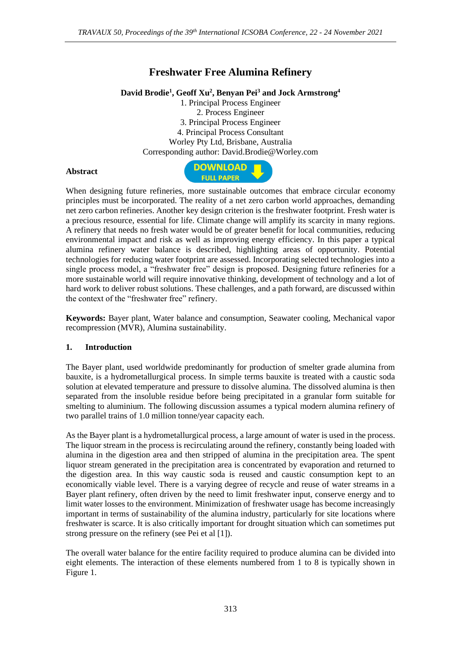# **Freshwater Free Alumina Refinery**

## **David Brodie<sup>1</sup> , Geoff Xu<sup>2</sup> , Benyan Pei<sup>3</sup> and Jock Armstrong<sup>4</sup>**

1. Principal Process Engineer 2. Process Engineer 3. Principal Process Engineer 4. Principal Process Consultant Worley Pty Ltd, Brisbane, Australia Corresponding author: David.Brodie@Worley.com

#### **Abstract**



When designing future refineries, more sustainable outcomes that embrace circular economy principles must be incorporated. The reality of a net zero carbon world approaches, demanding net zero carbon refineries. Another key design criterion is the freshwater footprint. Fresh water is a precious resource, essential for life. Climate change will amplify its scarcity in many regions. A refinery that needs no fresh water would be of greater benefit for local communities, reducing environmental impact and risk as well as improving energy efficiency. In this paper a typical alumina refinery water balance is described, highlighting areas of opportunity. Potential technologies for reducing water footprint are assessed. Incorporating selected technologies into a single process model, a "freshwater free" design is proposed. Designing future refineries for a more sustainable world will require innovative thinking, development of technology and a lot of hard work to deliver robust solutions. These challenges, and a path forward, are discussed within the context of the "freshwater free" refinery.

**Keywords:** Bayer plant, Water balance and consumption, Seawater cooling, Mechanical vapor recompression (MVR), Alumina sustainability.

### **1. Introduction**

The Bayer plant, used worldwide predominantly for production of smelter grade alumina from bauxite, is a hydrometallurgical process. In simple terms bauxite is treated with a caustic soda solution at elevated temperature and pressure to dissolve alumina. The dissolved alumina is then separated from the insoluble residue before being precipitated in a granular form suitable for smelting to aluminium. The following discussion assumes a typical modern alumina refinery of two parallel trains of 1.0 million tonne/year capacity each.

As the Bayer plant is a hydrometallurgical process, a large amount of water is used in the process. The liquor stream in the process is recirculating around the refinery, constantly being loaded with alumina in the digestion area and then stripped of alumina in the precipitation area. The spent liquor stream generated in the precipitation area is concentrated by evaporation and returned to the digestion area. In this way caustic soda is reused and caustic consumption kept to an economically viable level. There is a varying degree of recycle and reuse of water streams in a Bayer plant refinery, often driven by the need to limit freshwater input, conserve energy and to limit water losses to the environment. Minimization of freshwater usage has become increasingly important in terms of sustainability of the alumina industry, particularly for site locations where freshwater is scarce. It is also critically important for drought situation which can sometimes put strong pressure on the refinery (see Pei et al [1]).

The overall water balance for the entire facility required to produce alumina can be divided into eight elements. The interaction of these elements numbered from 1 to 8 is typically shown in Figure 1.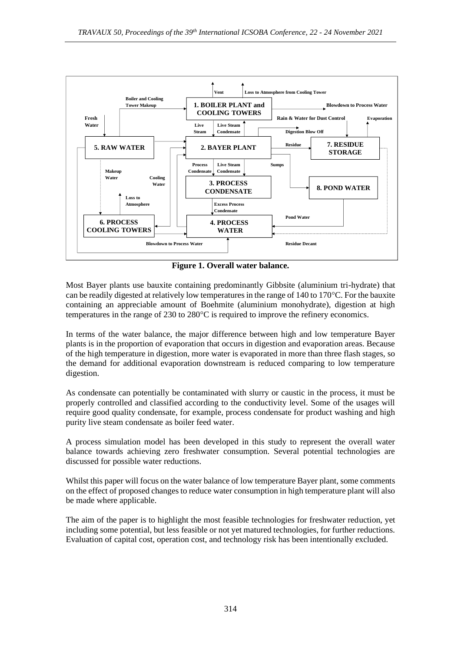

**Figure 1. Overall water balance.**

Most Bayer plants use bauxite containing predominantly Gibbsite (aluminium tri-hydrate) that can be readily digested at relatively low temperatures in the range of 140 to 170°C. For the bauxite containing an appreciable amount of Boehmite (aluminium monohydrate), digestion at high temperatures in the range of 230 to 280°C is required to improve the refinery economics.

In terms of the water balance, the major difference between high and low temperature Bayer plants is in the proportion of evaporation that occurs in digestion and evaporation areas. Because of the high temperature in digestion, more water is evaporated in more than three flash stages, so the demand for additional evaporation downstream is reduced comparing to low temperature digestion.

As condensate can potentially be contaminated with slurry or caustic in the process, it must be properly controlled and classified according to the conductivity level. Some of the usages will require good quality condensate, for example, process condensate for product washing and high purity live steam condensate as boiler feed water.

A process simulation model has been developed in this study to represent the overall water balance towards achieving zero freshwater consumption. Several potential technologies are discussed for possible water reductions.

Whilst this paper will focus on the water balance of low temperature Bayer plant, some comments on the effect of proposed changes to reduce water consumption in high temperature plant will also be made where applicable.

The aim of the paper is to highlight the most feasible technologies for freshwater reduction, yet including some potential, but less feasible or not yet matured technologies, for further reductions. Evaluation of capital cost, operation cost, and technology risk has been intentionally excluded.